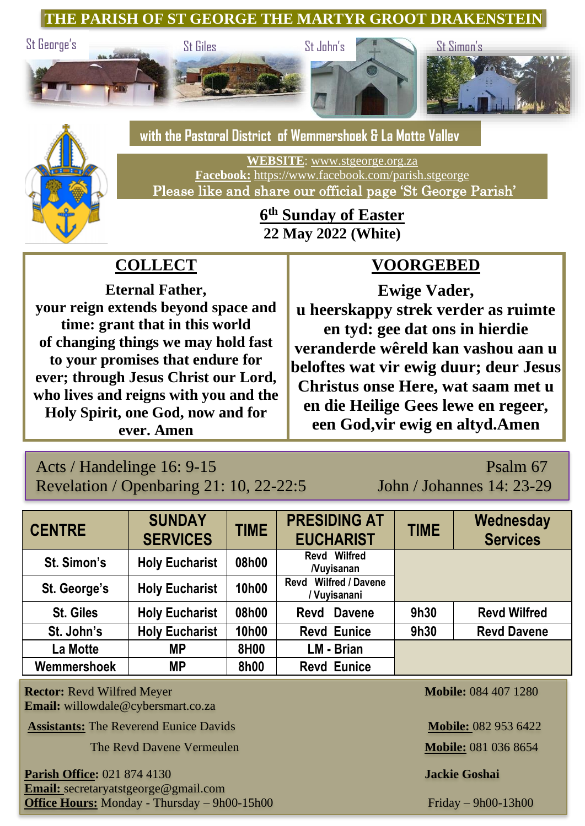**THE PARISH OF ST GEORGE THE MARTYR GROOT DRAKENSTEIN**







 **with the Pastoral District of Wemmershoek & La Motte Valley**

**WEBSITE**: [www.stgeorge.org.za](http://www.stgeorge.org.za/) **Facebook:** <https://www.facebook.com/parish.stgeorge> Please like and share our official page 'St George Parish'

## **6 th Sunday of Easter 22 May 2022 (White)**

# **COLLECT**

**Eternal Father, your reign extends beyond space and time: grant that in this world of changing things we may hold fast to your promises that endure for ever; through Jesus Christ our Lord, who lives and reigns with you and the Holy Spirit, one God, now and for ever. Amen**

# **VOORGEBED**

**Ewige Vader, u heerskappy strek verder as ruimte en tyd: gee dat ons in hierdie veranderde wêreld kan vashou aan u beloftes wat vir ewig duur; deur Jesus Christus onse Here, wat saam met u en die Heilige Gees lewe en regeer, een God,vir ewig en altyd.Amen**

## Acts / Handelinge 16: 9-15 Psalm 67 Revelation / Openbaring 21: 10, 22-22:5 John / Johannes 14: 23-29

| <b>CENTRE</b>    | <b>SUNDAY</b><br><b>SERVICES</b> | <b>TIME</b> | <b>PRESIDING AT</b><br><b>EUCHARIST</b>         | <b>TIME</b> | Wednesday<br><b>Services</b> |
|------------------|----------------------------------|-------------|-------------------------------------------------|-------------|------------------------------|
| St. Simon's      | <b>Holy Eucharist</b>            | 08h00       | Revd Wilfred<br><b>Nuvisanan</b>                |             |                              |
| St. George's     | <b>Holy Eucharist</b>            | 10h00       | <b>Wilfred / Davene</b><br>Revd<br>/ Vuyisanani |             |                              |
| <b>St. Giles</b> | <b>Holy Eucharist</b>            | 08h00       | Revd Davene                                     | 9h30        | <b>Revd Wilfred</b>          |
| St. John's       | <b>Holy Eucharist</b>            | 10h00       | <b>Revd Eunice</b>                              | 9h30        | <b>Revd Davene</b>           |
| La Motte         | <b>MP</b>                        | 8H00        | LM - Brian                                      |             |                              |
| Wemmershoek      | <b>MP</b>                        | 8h00        | <b>Revd Eunice</b>                              |             |                              |

**Rector:** Revd Wilfred Meyer **Mobile:** 084 407 1280 **Email:** willowdale@cybersmart.co.za

**Assistants:** The Reverend Eunice Davids **Mobile: 082 953 6422** 

**The Revd Davene Vermeulen <b>Mobile:** 081 036 8654

**Parish Office:** 021 874 4130 **Jackie Goshai Email:** secretaryatstgeorge@gmail.com **Office Hours:** Monday - Thursday – 9h00-15h00 Friday – 9h00-13h00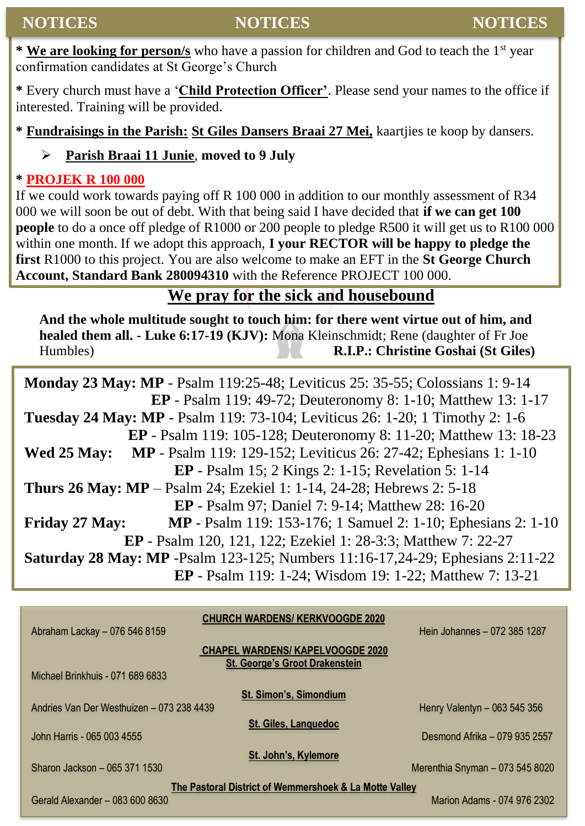**\* We are looking for person/s** who have a passion for children and God to teach the 1st year confirmation candidates at St George's Church

**\*** Every church must have a '**Child Protection Officer'**. Please send your names to the office if interested. Training will be provided.

**\* Fundraisings in the Parish: St Giles Dansers Braai 27 Mei,** kaartjies te koop by dansers.

#### ➢ **Parish Braai 11 Junie**, **moved to 9 July**

#### **\* PROJEK R 100 000**

If we could work towards paying off R 100 000 in addition to our monthly assessment of R34 000 we will soon be out of debt. With that being said I have decided that **if we can get 100 people** to do a once off pledge of R1000 or 200 people to pledge R500 it will get us to R100 000 within one month. If we adopt this approach, **I your RECTOR will be happy to pledge the first** R1000 to this project. You are also welcome to make an EFT in the **St George Church Account, Standard Bank 280094310** with the Reference PROJECT 100 000.

### **We pray for the sick and housebound**

**And the whole multitude sought to touch him: for there went virtue out of him, and healed them all. - Luke 6:17-19 (KJV):** Mona Kleinschmidt; Rene (daughter of Fr Joe Humbles) **R.I.P.: Christine Goshai (St Giles)**

**Monday 23 May: MP** - Psalm 119:25-48; Leviticus 25: 35-55; Colossians 1: 9-14 **EP** - Psalm 119: 49-72; Deuteronomy 8: 1-10; Matthew 13: 1-17 **Tuesday 24 May: MP** - Psalm 119: 73-104; Leviticus 26: 1-20; 1 Timothy 2: 1-6 **EP** - Psalm 119: 105-128; Deuteronomy 8: 11-20; Matthew 13: 18-23 **Wed 25 May: MP** - Psalm 119: 129-152; Leviticus 26: 27-42; Ephesians 1: 1-10 **EP** - Psalm 15; 2 Kings 2: 1-15; Revelation 5: 1-14 **Thurs 26 May: MP** – Psalm 24; Ezekiel 1: 1-14, 24-28; Hebrews 2: 5-18 **EP** - Psalm 97; Daniel 7: 9-14; Matthew 28: 16-20 **Friday 27 May: MP** - Psalm 119: 153-176; 1 Samuel 2: 1-10; Ephesians 2: 1-10 **EP** - Psalm 120, 121, 122; Ezekiel 1: 28-3:3; Matthew 7: 22-27 **Saturday 28 May: MP** -Psalm 123-125; Numbers 11:16-17,24-29; Ephesians 2:11-22 **EP** - Psalm 119: 1-24; Wisdom 19: 1-22; Matthew 7: 13-21

|                                                        | <b>CHURCH WARDENS/ KERKVOOGDE 2020</b>  |                                 |  |  |  |  |
|--------------------------------------------------------|-----------------------------------------|---------------------------------|--|--|--|--|
| Abraham Lackay - 076 546 8159                          |                                         | Hein Johannes - 072 385 1287    |  |  |  |  |
|                                                        | <b>CHAPEL WARDENS/ KAPELVOOGDE 2020</b> |                                 |  |  |  |  |
|                                                        | <b>St. George's Groot Drakenstein</b>   |                                 |  |  |  |  |
| Michael Brinkhuis - 071 689 6833                       |                                         |                                 |  |  |  |  |
|                                                        | <b>St. Simon's, Simondium</b>           |                                 |  |  |  |  |
| Andries Van Der Westhuizen - 073 238 4439              | Henry Valentyn - 063 545 356            |                                 |  |  |  |  |
|                                                        | <b>St. Giles, Languedoc</b>             |                                 |  |  |  |  |
| John Harris - 065 003 4555                             |                                         | Desmond Afrika - 079 935 2557   |  |  |  |  |
|                                                        | St. John's, Kylemore                    |                                 |  |  |  |  |
| Sharon Jackson - 065 371 1530                          |                                         | Merenthia Snyman - 073 545 8020 |  |  |  |  |
| The Pastoral District of Wemmershoek & La Motte Valley |                                         |                                 |  |  |  |  |
| Gerald Alexander - 083 600 8630                        |                                         | Marion Adams - 074 976 2302     |  |  |  |  |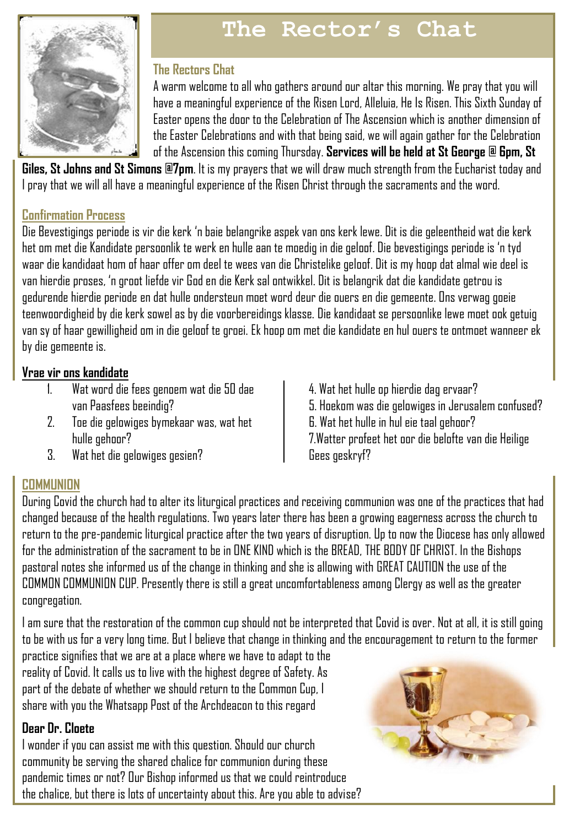

# **The Rector's Chat**

#### **The Rectors Chat**

A warm welcome to all who gathers around our altar this morning. We pray that you will have a meaningful experience of the Risen Lord, Alleluia, He Is Risen. This Sixth Sunday of Easter opens the door to the Celebration of The Ascension which is another dimension of the Easter Celebrations and with that being said, we will again gather for the Celebration of the Ascension this coming Thursday. **Services will be held at St George @ 6pm, St** 

**Giles, St Johns and St Simons @7pm**. It is my prayers that we will draw much strength from the Eucharist today and I pray that we will all have a meaningful experience of the Risen Christ through the sacraments and the word.

#### **Confirmation Process**

Die Bevestigings periode is vir die kerk 'n baie belangrike aspek van ons kerk lewe. Dit is die geleentheid wat die kerk het om met die Kandidate persoonlik te werk en hulle aan te moedig in die geloof. Die bevestigings periode is 'n tyd waar die kandidaat hom of haar offer om deel te wees van die Christelike geloof. Dit is my hoop dat almal wie deel is van hierdie proses, 'n groot liefde vir God en die Kerk sal ontwikkel. Dit is belangrik dat die kandidate getrou is gedurende hierdie periode en dat hulle ondersteun moet word deur die ouers en die gemeente. Ons verwag goeie teenwoordigheid by die kerk sowel as by die voorbereidings klasse. Die kandidaat se persoonlike lewe moet ook getuig van sy of haar gewilligheid om in die geloof te groei. Ek hoop om met die kandidate en hul ouers te ontmoet wanneer ek by die gemeente is.

#### **Vrae vir ons kandidate**

- 1. Wat word die fees genoem wat die 50 dae van Paasfees beeindig?
- 2. Toe die gelowiges bymekaar was, wat het hulle gehoor?
- 3. Wat het die gelowiges gesien?
- **COMMUNION**

4. Wat het hulle op hierdie dag ervaar? 5. Hoekom was die gelowiges in Jerusalem confused? 6. Wat het hulle in hul eie taal gehoor? 7.Watter profeet het oor die belofte van die Heilige Gees geskryf?

During Covid the church had to alter its liturgical practices and receiving communion was one of the practices that had changed because of the health regulations. Two years later there has been a growing eagerness across the church to return to the pre-pandemic liturgical practice after the two years of disruption. Up to now the Diocese has only allowed for the administration of the sacrament to be in ONE KIND which is the BREAD, THE BODY OF CHRIST. In the Bishops pastoral notes she informed us of the change in thinking and she is allowing with GREAT CAUTION the use of the COMMON COMMUNION CUP. Presently there is still a great uncomfortableness among Clergy as well as the greater congregation.

I am sure that the restoration of the common cup should not be interpreted that Covid is over. Not at all, it is still going to be with us for a very long time. But I believe that change in thinking and the encouragement to return to the former

practice signifies that we are at a place where we have to adapt to the reality of Covid. It calls us to live with the highest degree of Safety. As part of the debate of whether we should return to the Common Cup, I share with you the Whatsapp Post of the Archdeacon to this regard

#### **Dear Dr. Cloete**

I wonder if you can assist me with this question. Should our church community be serving the shared chalice for communion during these pandemic times or not? Our Bishop informed us that we could reintroduce the chalice, but there is lots of uncertainty about this. Are you able to advise?